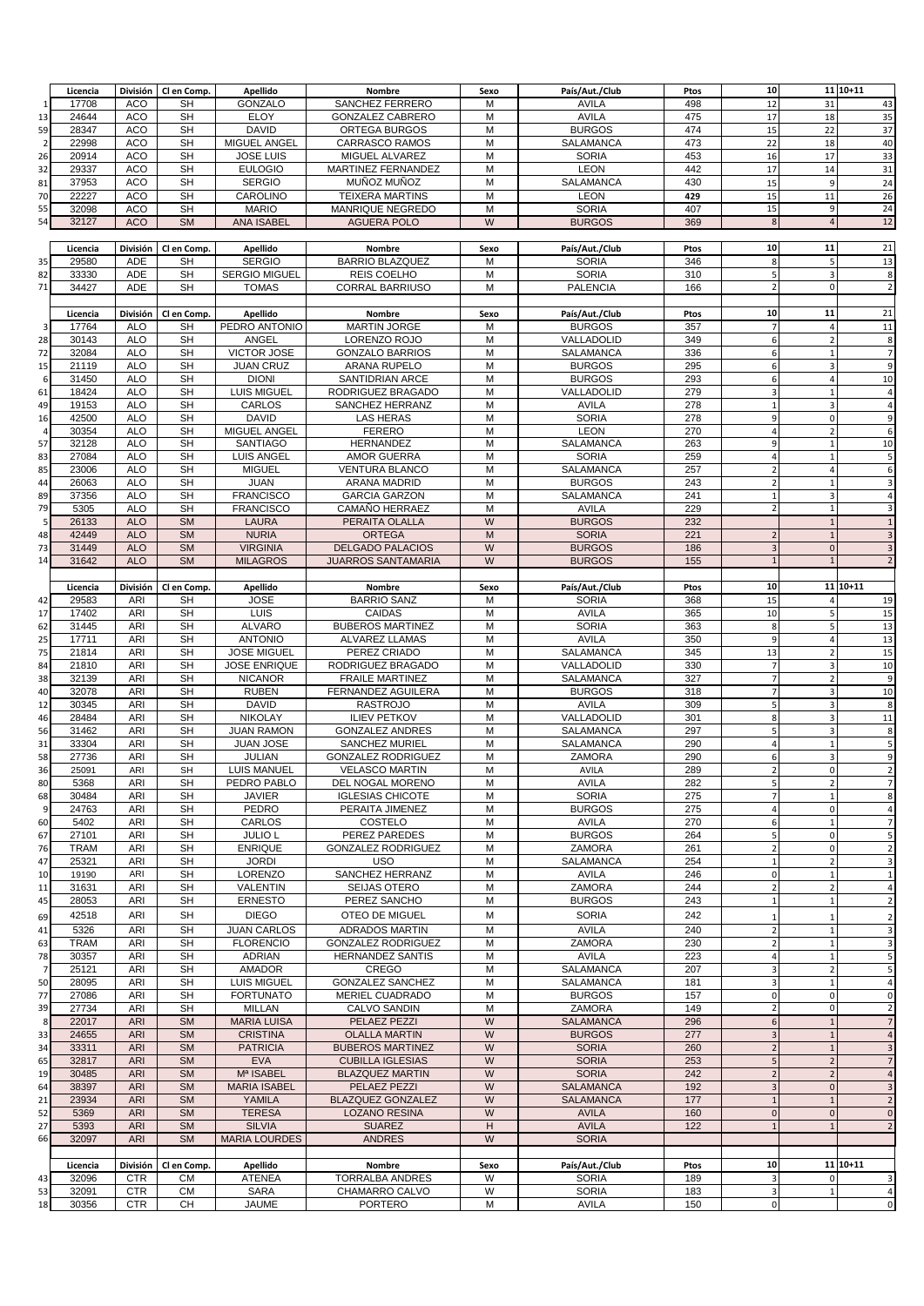|                | Licencia       | División          | Cl en Comp.     | Apellido                    | Nombre                           | Sexo   | País/Aut./Club        | Ptos       | 10                                     |                | 11 10+11                      |
|----------------|----------------|-------------------|-----------------|-----------------------------|----------------------------------|--------|-----------------------|------------|----------------------------------------|----------------|-------------------------------|
| -1             | 17708          | ACO               | SН              | GONZALO                     | SANCHEZ FERRERO                  | м      | AVILA                 | 498        | 12                                     | 31             | 43                            |
| 13             | 24644          | ACO               | <b>SH</b>       | <b>ELOY</b>                 | <b>GONZALEZ CABRERO</b>          | M      | <b>AVILA</b>          | 475        | 17                                     | 18             | 35                            |
| 59             | 28347          | ACO               | <b>SH</b>       | <b>DAVID</b>                | ORTEGA BURGOS                    | M      | <b>BURGOS</b>         | 474        | 15                                     | 22             | 37                            |
|                |                |                   |                 |                             |                                  |        |                       |            |                                        |                |                               |
| $\overline{2}$ | 22998          | ACO               | <b>SH</b>       | MIGUEL ANGEL                | <b>CARRASCO RAMOS</b>            | M      | <b>SALAMANCA</b>      | 473        | 22                                     | 18             | 40                            |
| 26             | 20914          | ACO               | <b>SH</b>       | <b>JOSE LUIS</b>            | MIGUEL ALVAREZ                   | M      | <b>SORIA</b>          | 453        | 16                                     | 17             | 33                            |
| 32             | 29337          | <b>ACO</b>        | <b>SH</b>       | <b>EULOGIO</b>              | MARTINEZ FERNANDEZ               | M      | <b>LEON</b>           | 442        | 17                                     | 14             | 31                            |
| 81             | 37953          | <b>ACO</b>        | <b>SH</b>       | <b>SERGIO</b>               | MUÑOZ MUÑOZ                      | M      | <b>SALAMANCA</b>      | 430        | 15                                     | 9              | 24                            |
| 70             | 22227          | <b>ACO</b>        | <b>SH</b>       | CAROLINO                    | <b>TEIXERA MARTINS</b>           | M      | <b>LEON</b>           | 429        | 15                                     | 11             | 26                            |
|                |                |                   |                 |                             |                                  |        | <b>SORIA</b>          |            | 15                                     | 9              |                               |
| 55             | 32098          | <b>ACO</b>        | <b>SH</b>       | <b>MARIO</b>                | MANRIQUE NEGREDO                 | M      |                       | 407        |                                        |                | 24                            |
| 54             | 32127          | <b>ACO</b>        | <b>SM</b>       | <b>ANA ISABEL</b>           | <b>AGUERA POLO</b>               | W      | <b>BURGOS</b>         | 369        | 8                                      | $\sqrt{4}$     | 12                            |
|                |                |                   |                 |                             |                                  |        |                       |            |                                        |                |                               |
|                | Licencia       | División          | Clen Comp.      | Apellido                    | Nombre                           | Sexo   | País/Aut./Club        | Ptos       | 10                                     | 11             | 21                            |
| 35             | 29580          | ADE               | <b>SH</b>       | <b>SERGIO</b>               | <b>BARRIO BLAZQUEZ</b>           | м      | <b>SORIA</b>          | 346        | 8                                      | 5              | 13                            |
| 82             | 33330          | ADE               | <b>SH</b>       | <b>SERGIO MIGUEL</b>        | REIS COELHO                      | M      | <b>SORIA</b>          | 310        | 5                                      | 3              | 8                             |
| 71             | 34427          | <b>ADE</b>        | <b>SH</b>       | <b>TOMAS</b>                | <b>CORRAL BARRIUSO</b>           | M      | <b>PALENCIA</b>       | 166        | $\overline{2}$                         | 0              | $\overline{\mathbf{c}}$       |
|                |                |                   |                 |                             |                                  |        |                       |            |                                        |                |                               |
|                |                |                   |                 |                             |                                  |        |                       |            |                                        |                | 21                            |
|                | Licencia       | División          | Cl en Comp.     | Apellido                    | Nombre                           | Sexo   | País/Aut./Club        | Ptos       | 10                                     | 11             |                               |
| 3              | 17764          | <b>ALO</b>        | <b>SH</b>       | PEDRO ANTONIO               | <b>MARTIN JORGE</b>              | м      | <b>BURGOS</b>         | 357        | $\overline{7}$                         | $\overline{a}$ | 11                            |
| 28             | 30143          | <b>ALO</b>        | <b>SH</b>       | ANGEL                       | LORENZO ROJO                     | M      | VALLADOLID            | 349        | 6                                      | $\overline{2}$ | 8                             |
| 72             | 32084          | <b>ALO</b>        | <b>SH</b>       | <b>VICTOR JOSE</b>          | <b>GONZALO BARRIOS</b>           | M      | SALAMANCA             | 336        | 6                                      | $\mathbf{1}$   | 7                             |
| 15             | 21119          | <b>ALO</b>        | <b>SH</b>       | <b>JUAN CRUZ</b>            | ARANA RUPELO                     | M      | <b>BURGOS</b>         | 295        | 6                                      | 3              | 9                             |
|                | 31450          | <b>ALO</b>        | <b>SH</b>       | <b>DIONI</b>                | SANTIDRIAN ARCE                  | M      | <b>BURGOS</b>         | 293        | 6                                      | $\overline{a}$ | 10                            |
| 61             | 18424          | <b>ALO</b>        | <b>SH</b>       | <b>LUIS MIGUEL</b>          | RODRIGUEZ BRAGADO                | M      | VALLADOLID            | 279        | $\overline{3}$                         | $\mathbf{1}$   | $\overline{4}$                |
| 49             | 19153          | <b>ALO</b>        | <b>SH</b>       | CARLOS                      | SANCHEZ HERRANZ                  | M      | AVILA                 | 278        | 1                                      | 3              | $\overline{4}$                |
|                | 42500          | <b>ALO</b>        | <b>SH</b>       | <b>DAVID</b>                | <b>LAS HERAS</b>                 | M      | <b>SORIA</b>          | 278        | 9                                      | $\mathbf 0$    | 9                             |
| 16             |                |                   |                 |                             |                                  |        |                       |            |                                        |                |                               |
|                | 30354          | <b>ALO</b>        | <b>SH</b>       | MIGUEL ANGEL                | <b>FERERO</b>                    | M      | <b>LEON</b>           | 270        | $\overline{4}$                         | $\overline{2}$ | 6                             |
| 57             | 32128          | <b>ALO</b>        | <b>SH</b>       | <b>SANTIAGO</b>             | HERNANDEZ                        | M      | SALAMANCA             | 263        | $\overline{9}$                         | $\mathbf{1}$   | 10                            |
| 83             | 27084          | <b>ALO</b>        | <b>SH</b>       | <b>LUIS ANGEL</b>           | <b>AMOR GUERRA</b>               | M      | <b>SORIA</b>          | 259        | $\overline{4}$                         | $\mathbf{1}$   | 5                             |
| 85             | 23006          | <b>ALO</b>        | <b>SH</b>       | <b>MIGUEL</b>               | <b>VENTURA BLANCO</b>            | M      | SALAMANCA             | 257        | $\overline{2}$                         | 4              | 6                             |
| 44             | 26063          | <b>ALO</b>        | <b>SH</b>       | <b>JUAN</b>                 | ARANA MADRID                     | M      | <b>BURGOS</b>         | 243        | $\overline{2}$                         | $\mathbf{1}$   | 3                             |
| 89             | 37356          | <b>ALO</b>        | <b>SH</b>       | <b>FRANCISCO</b>            | <b>GARCIA GARZON</b>             | M      | SALAMANCA             | 241        | $\mathbf{1}$                           | 3              | $\overline{4}$                |
| 79             | 5305           | <b>ALO</b>        | <b>SH</b>       | <b>FRANCISCO</b>            | CAMAÑO HERRAEZ                   | M      | <b>AVILA</b>          | 229        | $\overline{2}$                         | $\mathbf 1$    | 3                             |
|                |                |                   |                 |                             |                                  |        |                       |            |                                        |                |                               |
|                | 26133          | <b>ALO</b>        | <b>SM</b>       | <b>LAURA</b>                | PERAITA OLALLA                   | W      | <b>BURGOS</b>         | 232        |                                        | $\mathbf{1}$   | $\mathbf{1}$                  |
| 48             | 42449          | <b>ALO</b>        | <b>SM</b>       | <b>NURIA</b>                | <b>ORTEGA</b>                    | M      | <b>SORIA</b>          | 221        | $\overline{2}$                         | $\mathbf{1}$   | 3                             |
| 73             | 31449          | <b>ALO</b>        | <b>SM</b>       | <b>VIRGINIA</b>             | <b>DELGADO PALACIOS</b>          | W      | <b>BURGOS</b>         | 186        | $\overline{3}$                         | $\mathbf{0}$   | $\overline{3}$                |
| 14             | 31642          | <b>ALO</b>        | <b>SM</b>       | <b>MILAGROS</b>             | <b>JUARROS SANTAMARIA</b>        | W      | <b>BURGOS</b>         | 155        | $\mathbf{1}$                           | $\mathbf{1}$   | $\overline{2}$                |
|                |                |                   |                 |                             |                                  |        |                       |            |                                        |                |                               |
|                | Licencia       | División          | Cl en Comp.     | Apellido                    | Nombre                           | Sexo   | País/Aut./Club        | Ptos       | 10                                     |                | 11 10+11                      |
| 42             | 29583          | ARI               | <b>SH</b>       | <b>JOSE</b>                 | <b>BARRIO SANZ</b>               | M      | <b>SORIA</b>          | 368        | 15                                     | $\overline{4}$ | 19                            |
|                |                |                   |                 | LUIS                        |                                  | M      |                       |            |                                        |                |                               |
| 17             | 17402          | ARI               | <b>SH</b>       |                             | <b>CAIDAS</b>                    |        | <b>AVILA</b>          | 365        | 10                                     | 5              | 15                            |
| 62             | 31445          | ARI               | <b>SH</b>       | <b>ALVARO</b>               | <b>BUBEROS MARTINEZ</b>          | M      | <b>SORIA</b>          | 363        | 8                                      | 5              | 13                            |
| 25             | 17711          | ARI               | <b>SH</b>       | <b>ANTONIO</b>              | ALVAREZ LLAMAS                   | M      | <b>AVILA</b>          | 350        | $9\,$                                  | $\overline{a}$ | 13                            |
| 75             | 21814          | ARI               | <b>SH</b>       | <b>JOSE MIGUEL</b>          | PEREZ CRIADO                     | M      | SALAMANCA             | 345        | 13                                     | $\overline{2}$ | 15                            |
| 84             | 21810          | ARI               | <b>SH</b>       | <b>JOSE ENRIQUE</b>         | RODRIGUEZ BRAGADO                | M      | VALLADOLID            | 330        | $\overline{7}$                         | 3              | 10                            |
| 38             | 32139          | ARI               | <b>SH</b>       | <b>NICANOR</b>              | <b>FRAILE MARTINEZ</b>           | M      | SALAMANCA             | 327        | $\overline{7}$                         | $\overline{2}$ | 9                             |
| 40             | 32078          | ARI               | <b>SH</b>       | <b>RUBEN</b>                | FERNANDEZ AGUILERA               | M      | <b>BURGOS</b>         | 318        | $\overline{7}$                         | 3              | 10                            |
| 12             | 30345          | ARI               | <b>SH</b>       | <b>DAVID</b>                | <b>RASTROJO</b>                  | M      | <b>AVILA</b>          | 309        | 5                                      | 3              | 8                             |
|                | 28484          | ARI               | <b>SH</b>       | <b>NIKOLAY</b>              | <b>ILIEV PETKOV</b>              | M      | VALLADOLID            | 301        |                                        |                |                               |
| 46             |                |                   |                 |                             |                                  |        |                       |            | $\bf 8$                                | 3              | 11                            |
| 56             | 31462          | ARI               | <b>SH</b>       | <b>JUAN RAMON</b>           | <b>GONZALEZ ANDRES</b>           | M      | SALAMANCA             | 297        | 5                                      | 3              | 8                             |
| 31             | 33304          | ARI               | <b>SH</b>       | <b>JUAN JOSE</b>            | <b>SANCHEZ MURIEL</b>            | M      | SALAMANCA             | 290        | $\overline{4}$                         | $\mathbf{1}$   | 5                             |
| 58             | 27736          | ARI               | <b>SH</b>       | <b>JULIAN</b>               | <b>GONZALEZ RODRIGUEZ</b>        | M      | <b>ZAMORA</b>         | 290        | 6                                      | 3              | 9                             |
| 36             | 25091          | ARI               | <b>SH</b>       | <b>LUIS MANUEL</b>          | <b>VELASCO MARTIN</b>            | M      | AVILA                 | 289        | $\overline{2}$                         | $\mathbf 0$    | $\overline{z}$                |
| 80             | 5368           | <b>ARI</b>        | SH              | PEDRO PABLO                 | DEL NOGAL MORENO                 | M      | AVILA                 | 282        | 5                                      | $\overline{2}$ | 7                             |
| 68             | 30484          | ARI               | <b>SH</b>       | JAVIER                      | <b>IGLESIAS CHICOTE</b>          | M      | <b>SORIA</b>          | 275        | $\overline{7}$                         | $\mathbf{1}$   | 8                             |
| 9              | 24763          | ARI               | <b>SH</b>       | PEDRO                       | PERAITA JIMENEZ                  | M      | <b>BURGOS</b>         | 275        | $\overline{a}$                         | $\mathbf 0$    | $\overline{4}$                |
| 60             | 5402           | ARI               | <b>SH</b>       | CARLOS                      | COSTELO                          | M      | AVILA                 | 270        | 6                                      | $\mathbf{1}$   | $\overline{7}$                |
|                |                |                   |                 |                             |                                  |        |                       |            |                                        |                |                               |
| 67             | 27101          | ARI               | <b>SH</b>       | <b>JULIO L</b>              | PEREZ PAREDES                    | M      | <b>BURGOS</b>         | 264        | 5                                      | 0              | 5                             |
| 76             | <b>TRAM</b>    | ARI               | <b>SH</b>       | <b>ENRIQUE</b>              | <b>GONZALEZ RODRIGUEZ</b>        | M      | <b>ZAMORA</b>         | 261        | $\overline{2}$                         | 0              | $\overline{\mathbf{c}}$       |
| 47             | 25321          | ARI               | <b>SH</b>       | <b>JORDI</b>                | <b>USO</b>                       | M      | SALAMANCA             | 254        | $\mathbf{1}$                           | $\overline{2}$ | 3                             |
| 10             | 19190          | ARI               | <b>SH</b>       | LORENZO                     | SANCHEZ HERRANZ                  | M      | <b>AVILA</b>          | 246        | $\mathbf 0$                            | $\mathbf{1}$   | 1                             |
| 11             | 31631          | ARI               | <b>SH</b>       | VALENTIN                    | SEIJAS OTERO                     | M      | <b>ZAMORA</b>         | 244        | $\overline{2}$                         | $\overline{2}$ | $\overline{4}$                |
| 45             | 28053          | ARI               | <b>SH</b>       | <b>ERNESTO</b>              | PEREZ SANCHO                     | M      | <b>BURGOS</b>         | 243        | $\,1\,$                                | $\mathbf{1}$   | $\overline{2}$                |
| 69             | 42518          | ARI               | <b>SH</b>       | <b>DIEGO</b>                | <b>OTEO DE MIGUEL</b>            | M      | <b>SORIA</b>          | 242        | 1                                      | $\mathbf{1}$   | $\overline{2}$                |
|                |                |                   |                 |                             |                                  |        |                       |            |                                        |                |                               |
| 41             |                |                   |                 |                             |                                  |        |                       |            |                                        |                | 3                             |
| 63             | 5326           | ARI               | <b>SH</b>       | <b>JUAN CARLOS</b>          | <b>ADRADOS MARTIN</b>            | M      | AVILA                 | 240        | $\overline{2}$                         | $\mathbf{1}$   |                               |
|                | <b>TRAM</b>    | ARI               | SН              | <b>FLORENCIO</b>            | <b>GONZALEZ RODRIGUEZ</b>        | M      | ZAMORA                | 230        | $\overline{2}$                         | $\mathbf{1}$   | 3                             |
| 78             | 30357          | ARI               | <b>SH</b>       | <b>ADRIAN</b>               | <b>HERNANDEZ SANTIS</b>          | M      | <b>AVILA</b>          | 223        | $\overline{a}$                         | $\mathbf{1}$   | 5                             |
| 7              | 25121          | ARI               | <b>SH</b>       | <b>AMADOR</b>               | CREGO                            | M      | SALAMANCA             | 207        | $\overline{\mathbf{3}}$                | $\overline{2}$ | 5                             |
| 50             | 28095          | ARI               | <b>SH</b>       | <b>LUIS MIGUEL</b>          | <b>GONZALEZ SANCHEZ</b>          | M      | SALAMANCA             | 181        | $\overline{\mathbf{3}}$                | $\mathbf{1}$   | $\overline{4}$                |
| 77             | 27086          | ARI               | <b>SH</b>       | <b>FORTUNATO</b>            | MERIEL CUADRADO                  | M      | <b>BURGOS</b>         | 157        | $\mathbf 0$                            | 0              | 0                             |
| 39             | 27734          | ARI               | SН              | <b>MILLAN</b>               | CALVO SANDIN                     | M      | ZAMORA                | 149        | $\overline{2}$                         | 0              | $\overline{2}$                |
| 8              | 22017          | <b>ARI</b>        | <b>SM</b>       | <b>MARIA LUISA</b>          | PELAEZ PEZZI                     | W      | <b>SALAMANCA</b>      |            |                                        | $\mathbf{1}$   | $\overline{7}$                |
|                |                |                   |                 |                             |                                  |        |                       | 296        | $\sqrt{6}$                             |                |                               |
| 33             | 24655          | <b>ARI</b>        | <b>SM</b>       | <b>CRISTINA</b>             | <b>OLALLA MARTIN</b>             | W      | <b>BURGOS</b>         | 277        | $\overline{3}$                         | $\mathbf{1}$   | $\overline{4}$                |
| 34             | 33311          | <b>ARI</b>        | <b>SM</b>       | <b>PATRICIA</b>             | <b>BUBEROS MARTINEZ</b>          | W      | <b>SORIA</b>          | 260        | $\mathbf 2$                            | $\mathbf{1}$   | $\overline{3}$                |
| 65             | 32817          | <b>ARI</b>        | <b>SM</b>       | <b>EVA</b>                  | <b>CUBILLA IGLESIAS</b>          | W      | <b>SORIA</b>          | 253        | 5                                      | $\overline{2}$ | $\overline{7}$                |
| 19             | 30485          | <b>ARI</b>        | <b>SM</b>       | Mª ISABEL                   | <b>BLAZQUEZ MARTIN</b>           | W      | <b>SORIA</b>          | 242        | $\overline{2}$                         | $\overline{2}$ | $\overline{4}$                |
| 64             | 38397          | <b>ARI</b>        | <b>SM</b>       | <b>MARIA ISABEL</b>         | PELAEZ PEZZI                     | W      | <b>SALAMANCA</b>      | 192        | $\overline{3}$                         | $\mathbf 0$    | $\overline{3}$                |
| 21             | 23934          | <b>ARI</b>        | <b>SM</b>       | YAMILA                      | <b>BLAZQUEZ GONZALEZ</b>         | W      | <b>SALAMANCA</b>      | 177        | $\mathbf{1}$                           | $\mathbf{1}$   | $\overline{2}$                |
| 52             | 5369           | <b>ARI</b>        | <b>SM</b>       | <b>TERESA</b>               | <b>LOZANO RESINA</b>             | W      | <b>AVILA</b>          | 160        | $\mathbf 0$                            | $\mathbf{0}$   | $\mathbf 0$                   |
| 27             | 5393           | <b>ARI</b>        | <b>SM</b>       | <b>SILVIA</b>               | <b>SUAREZ</b>                    | H      | <b>AVILA</b>          | 122        | $\mathbf{1}$                           | $\mathbf{1}$   | $\overline{2}$                |
| 66             | 32097          | <b>ARI</b>        | <b>SM</b>       |                             | <b>ANDRES</b>                    | W      | <b>SORIA</b>          |            |                                        |                |                               |
|                |                |                   |                 | <b>MARIA LOURDES</b>        |                                  |        |                       |            |                                        |                |                               |
|                |                |                   |                 |                             |                                  |        |                       |            |                                        |                |                               |
|                | Licencia       | División          | Cl en Comp.     | Apellido                    | Nombre                           | Sexo   | País/Aut./Club        | Ptos       | 10                                     |                | 11 10+11                      |
| 43             | 32096          | <b>CTR</b>        | СM              | <b>ATENEA</b>               | <b>TORRALBA ANDRES</b>           | W      | <b>SORIA</b>          | 189        | $\overline{\mathbf{3}}$                | $\mathbf 0$    | 3                             |
| 53<br>18       | 32091<br>30356 | <b>CTR</b><br>CTR | <b>CM</b><br>CН | <b>SARA</b><br><b>JAUME</b> | CHAMARRO CALVO<br><b>PORTERO</b> | W<br>M | <b>SORIA</b><br>AVILA | 183<br>150 | $\overline{\mathbf{3}}$<br>$\mathbf 0$ | $\mathbf{1}$   | $\overline{4}$<br>$\mathbf 0$ |